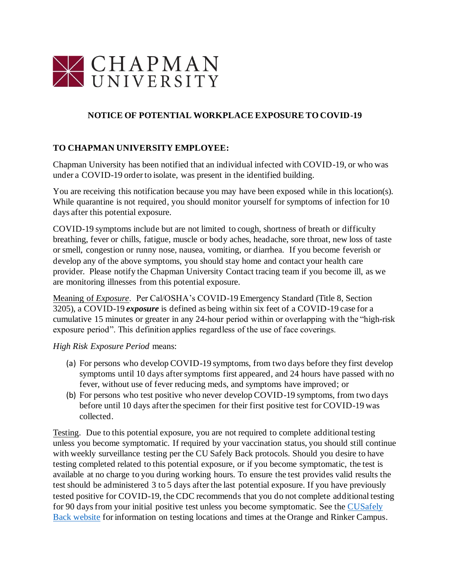

## **NOTICE OF POTENTIAL WORKPLACE EXPOSURE TO COVID-19**

## **TO CHAPMAN UNIVERSITY EMPLOYEE:**

Chapman University has been notified that an individual infected with COVID-19, or who was under a COVID-19 order to isolate, was present in the identified building.

You are receiving this notification because you may have been exposed while in this location(s). While quarantine is not required, you should monitor yourself for symptoms of infection for 10 days after this potential exposure.

COVID-19 symptoms include but are not limited to cough, shortness of breath or difficulty breathing, fever or chills, fatigue, muscle or body aches, headache, sore throat, new loss of taste or smell, congestion or runny nose, nausea, vomiting, or diarrhea. If you become feverish or develop any of the above symptoms, you should stay home and contact your health care provider. Please notify the Chapman University Contact tracing team if you become ill, as we are monitoring illnesses from this potential exposure.

Meaning of *Exposure*. Per Cal/OSHA's COVID-19 Emergency Standard (Title 8, Section 3205), a COVID-19 *exposure* is defined as being within six feet of a COVID-19 case for a cumulative 15 minutes or greater in any 24-hour period within or overlapping with the "high-risk exposure period". This definition applies regardless of the use of face coverings.

*High Risk Exposure Period* means:

- (a) For persons who develop COVID-19 symptoms, from two days before they first develop symptoms until 10 days after symptoms first appeared, and 24 hours have passed with no fever, without use of fever reducing meds, and symptoms have improved; or
- (b) For persons who test positive who never develop COVID-19 symptoms, from two days before until 10 days after the specimen for their first positive test for COVID-19 was collected.

Testing. Due to this potential exposure, you are not required to complete additional testing unless you become symptomatic. If required by your vaccination status, you should still continue with weekly surveillance testing per the CU Safely Back protocols. Should you desire to have testing completed related to this potential exposure, or if you become symptomatic, the test is available at no charge to you during working hours. To ensure the test provides valid results the test should be administered 3 to 5 days after the last potential exposure. If you have previously tested positive for COVID-19, the CDC recommends that you do not complete additional testing for 90 days from your initial positive test unless you become symptomatic. See the CUSafely Back website for information on testing locations and times at the Orange and Rinker Campus.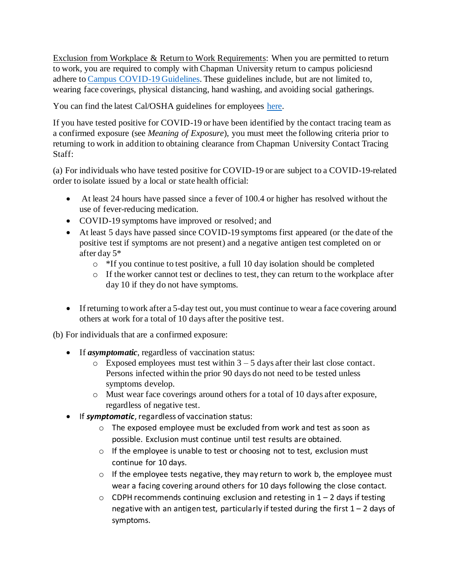Exclusion from Workplace & Return to Work Requirements: When you are permitted to return to work, you are required to comply with Chapman University return to campus policiesnd adhere to Campus COVID-19 Guidelines. These guidelines include, but are not limited to, wearing face coverings, physical distancing, hand washing, and avoiding social gatherings.

You can find the latest Cal/OSHA guidelines for employees here.

If you have tested positive for COVID-19 or have been identified by the contact tracing team as a confirmed exposure (see *Meaning of Exposure*), you must meet the following criteria prior to returning to work in addition to obtaining clearance from Chapman University Contact Tracing Staff:

(a) For individuals who have tested positive for COVID-19 or are subject to a COVID-19-related order to isolate issued by a local or state health official:

- At least 24 hours have passed since a fever of 100.4 or higher has resolved without the use of fever-reducing medication.
- COVID-19 symptoms have improved or resolved; and
- At least 5 days have passed since COVID-19 symptoms first appeared (or the date of the positive test if symptoms are not present) and a negative antigen test completed on or after day 5\*
	- $\circ$  \*If you continue to test positive, a full 10 day isolation should be completed
	- o If the worker cannot test or declines to test, they can return to the workplace after day 10 if they do not have symptoms.
- If returning to work after a 5-day test out, you must continue to wear a face covering around others at work for a total of 10 days after the positive test.

(b) For individuals that are a confirmed exposure:

- If *asymptomatic*, regardless of vaccination status:
	- $\circ$  Exposed employees must test within  $3 5$  days after their last close contact. Persons infected within the prior 90 days do not need to be tested unless symptoms develop.
	- o Must wear face coverings around others for a total of 10 days after exposure, regardless of negative test.
- If *symptomatic*, regardless of vaccination status:
	- o The exposed employee must be excluded from work and test as soon as possible. Exclusion must continue until test results are obtained.
	- o If the employee is unable to test or choosing not to test, exclusion must continue for 10 days.
	- o If the employee tests negative, they may return to work b, the employee must wear a facing covering around others for 10 days following the close contact.
	- $\circ$  CDPH recommends continuing exclusion and retesting in 1 2 days if testing negative with an antigen test, particularly if tested during the first  $1 - 2$  days of symptoms.